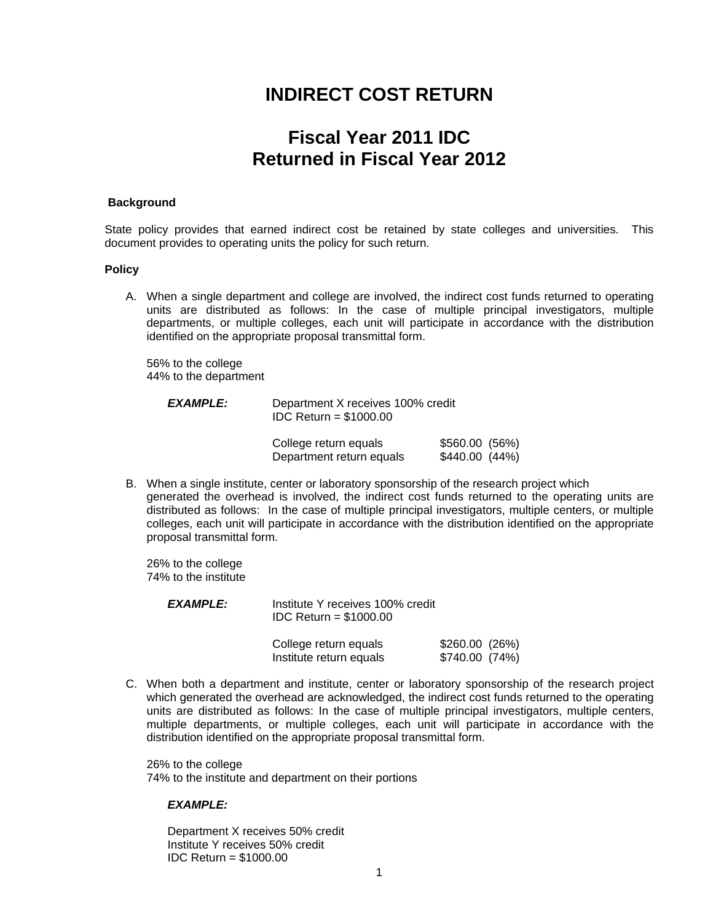# **INDIRECT COST RETURN**

# **Fiscal Year 2011 IDC Returned in Fiscal Year 2012**

#### **Background**

State policy provides that earned indirect cost be retained by state colleges and universities. This document provides to operating units the policy for such return.

#### **Policy**

A. When a single department and college are involved, the indirect cost funds returned to operating units are distributed as follows: In the case of multiple principal investigators, multiple departments, or multiple colleges, each unit will participate in accordance with the distribution identified on the appropriate proposal transmittal form.

 56% to the college 44% to the department

| <b>EXAMPLE:</b> | Department X receives 100% credit<br>$IDC$ Return = \$1000.00 |                                  |
|-----------------|---------------------------------------------------------------|----------------------------------|
|                 | College return equals<br>Department return equals             | $$560.00$ (56%)<br>\$440.00(44%) |

B. When a single institute, center or laboratory sponsorship of the research project which generated the overhead is involved, the indirect cost funds returned to the operating units are distributed as follows: In the case of multiple principal investigators, multiple centers, or multiple colleges, each unit will participate in accordance with the distribution identified on the appropriate proposal transmittal form.

 26% to the college 74% to the institute

| <i><b>EXAMPLE:</b></i> | Institute Y receives 100% credit<br>$IDC$ Return = \$1000.00 |                                 |  |
|------------------------|--------------------------------------------------------------|---------------------------------|--|
|                        | College return equals<br>Institute return equals             | \$260.00(26%)<br>\$740.00 (74%) |  |

C. When both a department and institute, center or laboratory sponsorship of the research project which generated the overhead are acknowledged, the indirect cost funds returned to the operating units are distributed as follows: In the case of multiple principal investigators, multiple centers, multiple departments, or multiple colleges, each unit will participate in accordance with the distribution identified on the appropriate proposal transmittal form.

 26% to the college 74% to the institute and department on their portions

#### *EXAMPLE:*

Department X receives 50% credit Institute Y receives 50% credit IDC Return = \$1000.00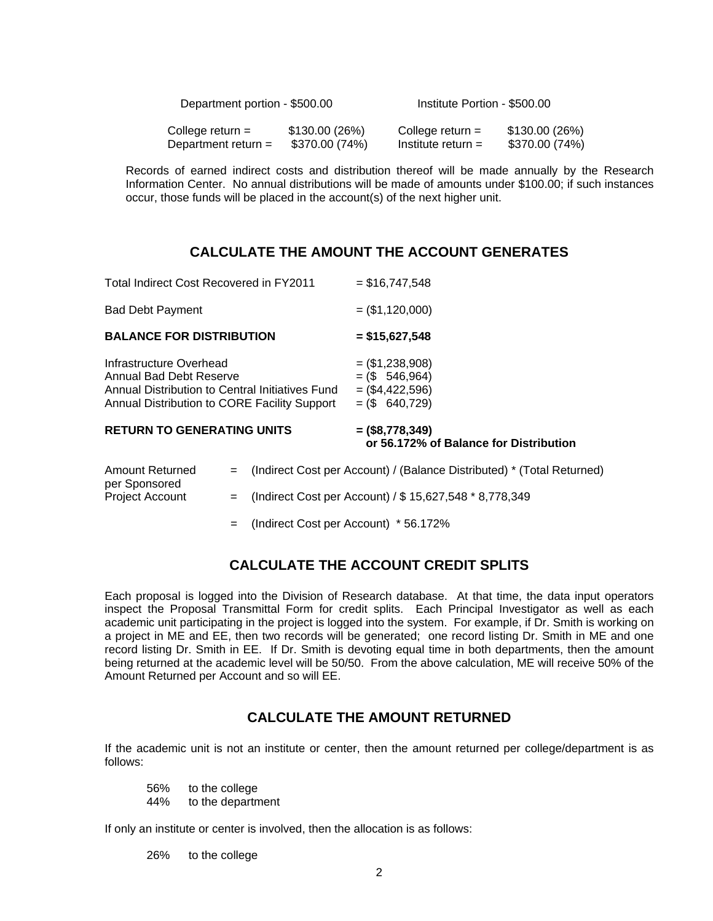| Department portion - \$500.00 |                | Institute Portion - \$500.00 |                |
|-------------------------------|----------------|------------------------------|----------------|
| College return $=$            | \$130.00(26%)  | College return $=$           | \$130.00 (26%) |
| Department return $=$         | \$370.00 (74%) | Institute return $=$         | \$370.00 (74%) |

 Records of earned indirect costs and distribution thereof will be made annually by the Research Information Center. No annual distributions will be made of amounts under \$100.00; if such instances occur, those funds will be placed in the account(s) of the next higher unit.

# **CALCULATE THE AMOUNT THE ACCOUNT GENERATES**

| Total Indirect Cost Recovered in FY2011                                                                                                               |     |                                                                        | $=$ \$16,747,548                                                               |  |  |
|-------------------------------------------------------------------------------------------------------------------------------------------------------|-----|------------------------------------------------------------------------|--------------------------------------------------------------------------------|--|--|
| <b>Bad Debt Payment</b>                                                                                                                               |     |                                                                        | $= (\$1,120,000)$                                                              |  |  |
| <b>BALANCE FOR DISTRIBUTION</b>                                                                                                                       |     |                                                                        | $=$ \$15,627,548                                                               |  |  |
| Infrastructure Overhead<br>Annual Bad Debt Reserve<br>Annual Distribution to Central Initiatives Fund<br>Annual Distribution to CORE Facility Support |     |                                                                        | $=$ (\$1,238,908)<br>$= (\$ 546,964)$<br>$= (\$4,422,596)$<br>$= (\$ 640,729)$ |  |  |
| <b>RETURN TO GENERATING UNITS</b>                                                                                                                     |     |                                                                        | $= (58, 778, 349)$<br>or 56.172% of Balance for Distribution                   |  |  |
| <b>Amount Returned</b><br>per Sponsored                                                                                                               | $=$ | (Indirect Cost per Account) / (Balance Distributed) * (Total Returned) |                                                                                |  |  |
| <b>Project Account</b>                                                                                                                                | $=$ | (Indirect Cost per Account) / \$15,627,548 *8,778,349                  |                                                                                |  |  |

= (Indirect Cost per Account) \* 56.172%

## **CALCULATE THE ACCOUNT CREDIT SPLITS**

Each proposal is logged into the Division of Research database. At that time, the data input operators inspect the Proposal Transmittal Form for credit splits. Each Principal Investigator as well as each academic unit participating in the project is logged into the system. For example, if Dr. Smith is working on a project in ME and EE, then two records will be generated; one record listing Dr. Smith in ME and one record listing Dr. Smith in EE. If Dr. Smith is devoting equal time in both departments, then the amount being returned at the academic level will be 50/50. From the above calculation, ME will receive 50% of the Amount Returned per Account and so will EE.

## **CALCULATE THE AMOUNT RETURNED**

If the academic unit is not an institute or center, then the amount returned per college/department is as follows:

 56% to the college 44% to the department

If only an institute or center is involved, then the allocation is as follows:

26% to the college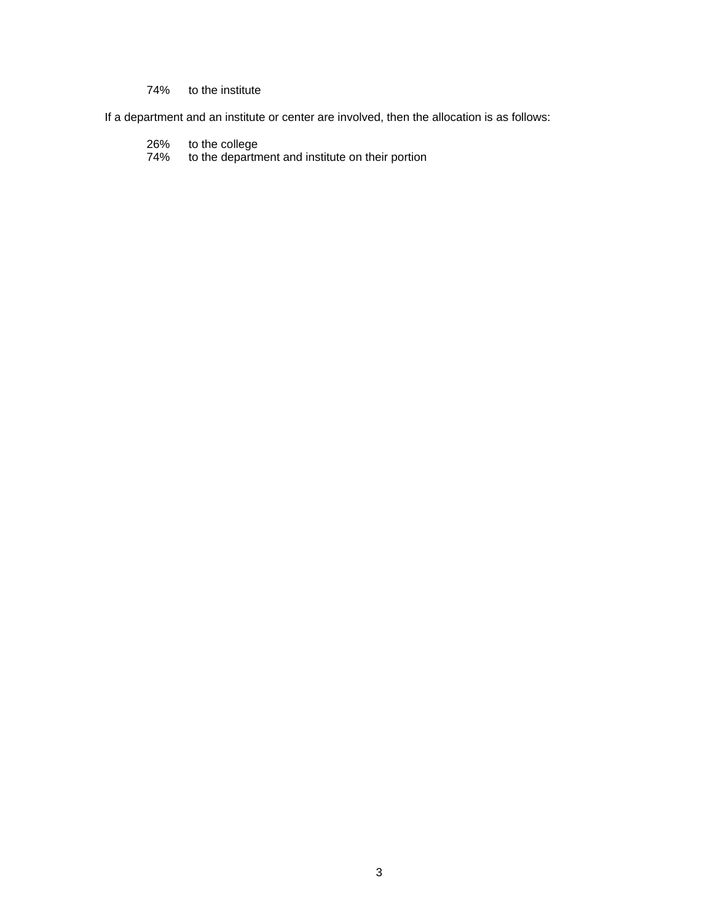### 74% to the institute

If a department and an institute or center are involved, then the allocation is as follows:

- 26% to the college
- 74% to the department and institute on their portion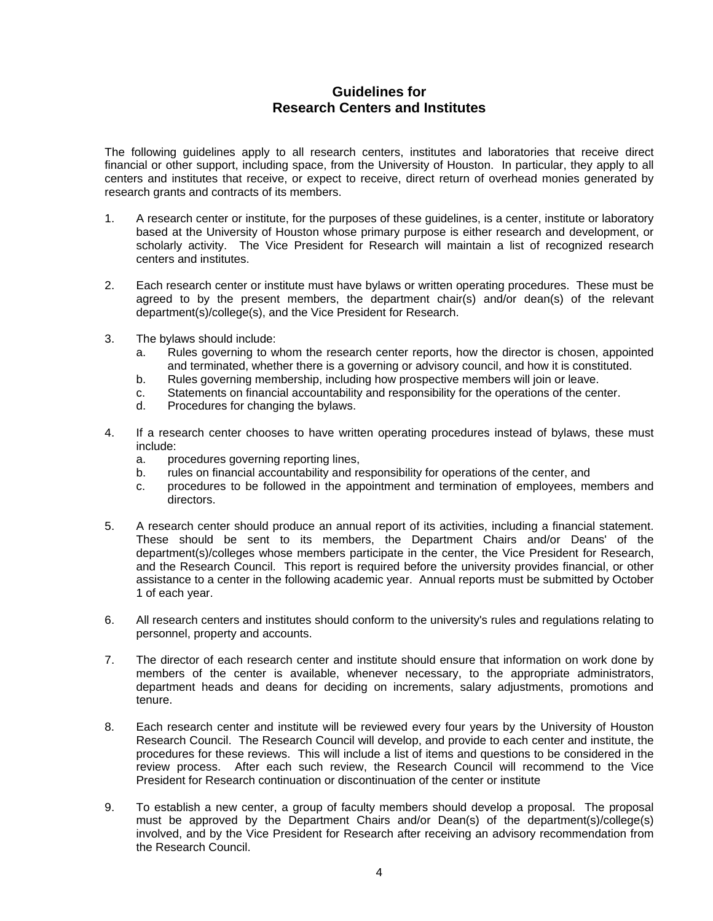### **Guidelines for Research Centers and Institutes**

The following guidelines apply to all research centers, institutes and laboratories that receive direct financial or other support, including space, from the University of Houston. In particular, they apply to all centers and institutes that receive, or expect to receive, direct return of overhead monies generated by research grants and contracts of its members.

- 1. A research center or institute, for the purposes of these guidelines, is a center, institute or laboratory based at the University of Houston whose primary purpose is either research and development, or scholarly activity. The Vice President for Research will maintain a list of recognized research centers and institutes.
- 2. Each research center or institute must have bylaws or written operating procedures. These must be agreed to by the present members, the department chair(s) and/or dean(s) of the relevant department(s)/college(s), and the Vice President for Research.
- 3. The bylaws should include:
	- a. Rules governing to whom the research center reports, how the director is chosen, appointed and terminated, whether there is a governing or advisory council, and how it is constituted.
	- b. Rules governing membership, including how prospective members will join or leave.
	- c. Statements on financial accountability and responsibility for the operations of the center.
	- d. Procedures for changing the bylaws.
- 4. If a research center chooses to have written operating procedures instead of bylaws, these must include:
	- a. procedures governing reporting lines,
	- b. rules on financial accountability and responsibility for operations of the center, and
	- c. procedures to be followed in the appointment and termination of employees, members and directors.
- 5. A research center should produce an annual report of its activities, including a financial statement. These should be sent to its members, the Department Chairs and/or Deans' of the department(s)/colleges whose members participate in the center, the Vice President for Research, and the Research Council. This report is required before the university provides financial, or other assistance to a center in the following academic year. Annual reports must be submitted by October 1 of each year.
- 6. All research centers and institutes should conform to the university's rules and regulations relating to personnel, property and accounts.
- 7. The director of each research center and institute should ensure that information on work done by members of the center is available, whenever necessary, to the appropriate administrators, department heads and deans for deciding on increments, salary adjustments, promotions and tenure.
- 8. Each research center and institute will be reviewed every four years by the University of Houston Research Council. The Research Council will develop, and provide to each center and institute, the procedures for these reviews. This will include a list of items and questions to be considered in the review process. After each such review, the Research Council will recommend to the Vice President for Research continuation or discontinuation of the center or institute
- 9. To establish a new center, a group of faculty members should develop a proposal. The proposal must be approved by the Department Chairs and/or Dean(s) of the department(s)/college(s) involved, and by the Vice President for Research after receiving an advisory recommendation from the Research Council.